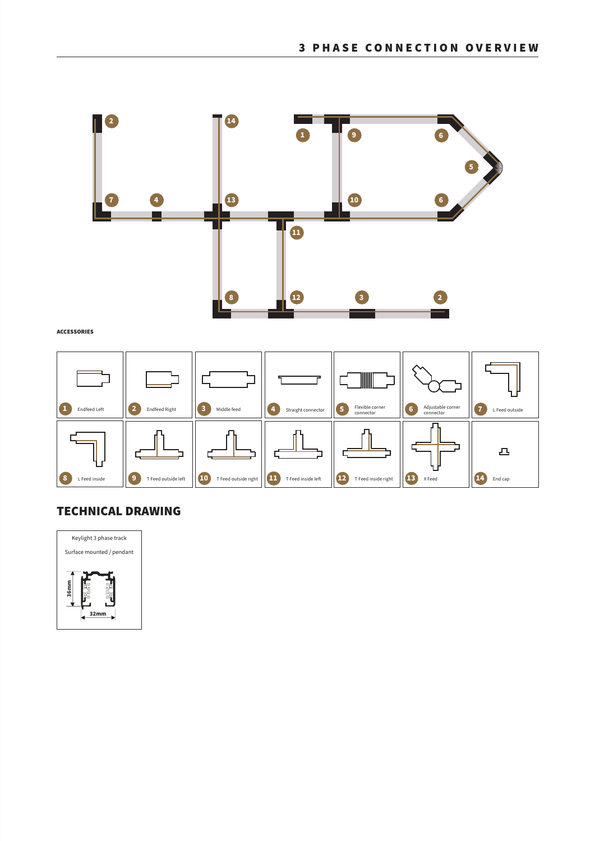

## ACCESSORIES



## TECHNICAL DRAWING

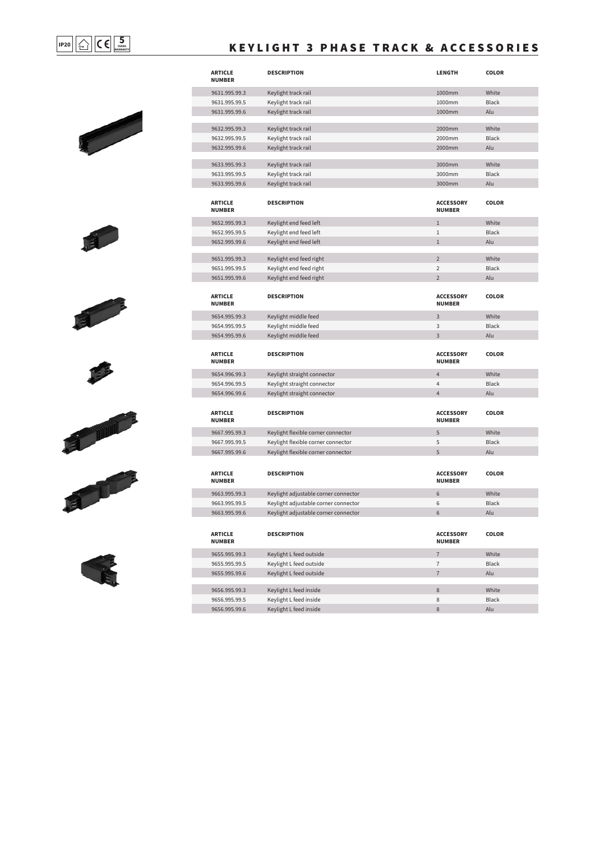$$
\fbox{1P20} \quad \fbox{---} \quad \fbox{---} \quad \fbox{---} \quad \fbox{---} \quad \fbox{---} \quad \fbox{---} \quad \fbox{---} \quad \fbox{---} \quad \fbox{---} \quad \fbox{---} \quad \fbox{---} \quad \fbox{---} \quad \fbox{---} \quad \fbox{---} \quad \fbox{---} \quad \fbox{---} \quad \fbox{---} \quad \fbox{---} \quad \fbox{---} \quad \fbox{---} \quad \fbox{---} \quad \fbox{---} \quad \fbox{---} \quad \fbox{---} \quad \fbox{---} \quad \fbox{---} \quad \fbox{---} \quad \fbox{---} \quad \fbox{---} \quad \fbox{---} \quad \fbox{---} \quad \fbox{---} \quad \fbox{---} \quad \fbox{---} \quad \fbox{---} \quad \fbox{---} \quad \fbox{---} \quad \fbox{---} \quad \fbox{---} \quad \fbox{---} \quad \fbox{---} \quad \fbox{---} \quad \fbox{---} \quad \fbox{---} \quad \fbox{---} \quad \fbox{---} \quad \fbox{---} \quad \fbox{---} \quad \fbox{---} \quad \fbox{---} \quad \fbox{---} \quad \fbox{---} \quad \fbox{---} \quad \fbox{---} \quad \fbox{---} \quad \fbox{---} \quad \fbox{---} \quad \fbox{---} \quad \fbox{---} \quad \fbox{---} \quad \fbox{---} \quad \fbox{---} \quad \fbox{---} \quad \fbox{---} \quad \fbox{---} \quad \fbox{---} \quad \fbox{---} \quad \fbox{---} \quad \fbox{---} \quad \fbox{---} \quad \fbox{---} \quad \fbox{---} \quad \fbox{---} \quad \fbox{---} \quad \fbox{---} \quad \fbox{---} \quad \fbox{---} \quad \fbox{---} \quad \fbox{---} \quad \fbox{---} \quad \fbox{---} \quad \fbox{---} \quad \fbox{---} \quad \fbox{---} \quad \fbox{---} \quad \fbox{---} \quad \fbox{---} \quad \fbox{---} \quad \fbox{---} \quad \fbox{---} \quad \fbox{---} \quad \fbox{---} \quad \fbox{---} \quad \fbox{---
$$

## **KEYLIGHT 3 PHASE TRACK & ACCESSORIES**













9656.995.99.6

Keylight L feed inside

| <b>ARTICLE</b><br><b>NUMBER</b> | <b>DESCRIPTION</b>                   | <b>LENGTH</b>                     | <b>COLOR</b> |
|---------------------------------|--------------------------------------|-----------------------------------|--------------|
| 9631.995.99.3                   | Keylight track rail                  | 1000mm                            | White        |
| 9631.995.99.5                   | Keylight track rail                  | 1000mm                            | <b>Black</b> |
| 9631.995.99.6                   | Keylight track rail                  | 1000mm                            | Alu          |
|                                 |                                      |                                   |              |
| 9632.995.99.3                   | Keylight track rail                  | 2000mm                            | White        |
| 9632.995.99.5                   | Keylight track rail                  | 2000mm                            | <b>Black</b> |
| 9632.995.99.6                   | Keylight track rail                  | 2000mm                            | Alu          |
| 9633.995.99.3                   | Keylight track rail                  | 3000mm                            | White        |
| 9633.995.99.5                   | Keylight track rail                  | 3000mm                            | <b>Black</b> |
| 9633.995.99.6                   | Keylight track rail                  | 3000mm                            | Alu          |
| <b>ARTICLE</b><br><b>NUMBER</b> | <b>DESCRIPTION</b>                   | <b>ACCESSORY</b><br><b>NUMBER</b> | <b>COLOR</b> |
| 9652.995.99.3                   | Keylight end feed left               | $\mathbf{1}$                      | White        |
| 9652.995.99.5                   | Keylight end feed left               | $1\,$                             | Black        |
| 9652.995.99.6                   | Keylight end feed left               | $\mathbf{1}$                      | Alu          |
| 9651.995.99.3                   | Keylight end feed right              | $\overline{2}$                    | White        |
| 9651.995.99.5                   | Keylight end feed right              | $\overline{2}$                    | <b>Black</b> |
| 9651.995.99.6                   | Keylight end feed right              | $\overline{2}$                    | Alu          |
| <b>ARTICLE</b><br><b>NUMBER</b> | <b>DESCRIPTION</b>                   | <b>ACCESSORY</b><br><b>NUMBER</b> | <b>COLOR</b> |
| 9654.995.99.3                   | Keylight middle feed                 | 3                                 | White        |
| 9654.995.99.5                   | Keylight middle feed                 | 3                                 | <b>Black</b> |
| 9654.995.99.6                   | Keylight middle feed                 | 3                                 | Alu          |
| <b>ARTICLE</b><br><b>NUMBER</b> | <b>DESCRIPTION</b>                   | <b>ACCESSORY</b><br><b>NUMBER</b> | <b>COLOR</b> |
| 9654.996.99.3                   | Keylight straight connector          | $\overline{4}$                    | White        |
| 9654.996.99.5                   | Keylight straight connector          | $\overline{4}$                    | <b>Black</b> |
| 9654.996.99.6                   | Keylight straight connector          | $\overline{4}$                    | Alu          |
| <b>ARTICLE</b><br><b>NUMBER</b> | <b>DESCRIPTION</b>                   | <b>ACCESSORY</b><br><b>NUMBER</b> | <b>COLOR</b> |
| 9667.995.99.3                   | Keylight flexible corner connector   | 5                                 | White        |
| 9667.995.99.5                   | Keylight flexible corner connector   | 5                                 | <b>Black</b> |
| 9667.995.99.6                   | Keylight flexible corner connector   | 5                                 | Alu          |
| <b>ARTICLE</b><br><b>NUMBER</b> | <b>DESCRIPTION</b>                   | <b>ACCESSORY</b><br><b>NUMBER</b> | <b>COLOR</b> |
| 9663.995.99.3                   | Keylight adjustable corner connector | 6                                 | White        |
| 9663.995.99.5                   | Keylight adjustable corner connector | 6                                 | <b>Black</b> |
| 9663.995.99.6                   | Keylight adjustable corner connector | $\sqrt{6}$                        | Alu          |
| <b>ARTICLE</b><br><b>NUMBER</b> | <b>DESCRIPTION</b>                   | <b>ACCESSORY</b><br><b>NUMBER</b> | <b>COLOR</b> |
|                                 |                                      |                                   |              |
| 9655.995.99.3                   | Keylight L feed outside              | $\overline{7}$                    | White        |
| 9655.995.99.5                   | Keylight L feed outside              | $\overline{7}$                    | <b>Black</b> |
| 9655.995.99.6                   | Keylight L feed outside              | $\overline{7}$                    | Alu          |
| 9656.995.99.3                   | Keylight L feed inside               | $\,8\,$                           | White        |

Alu

8